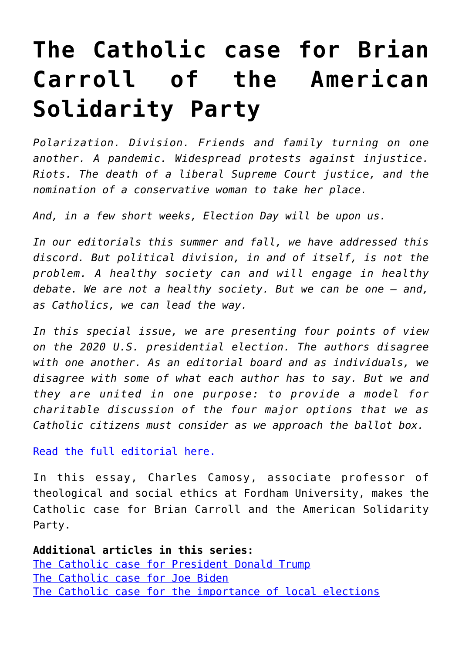## **[The Catholic case for Brian](https://www.osvnews.com/2020/09/29/the-catholic-case-for-brian-carroll-of-the-american-solidarity-party/) [Carroll of the American](https://www.osvnews.com/2020/09/29/the-catholic-case-for-brian-carroll-of-the-american-solidarity-party/) [Solidarity Party](https://www.osvnews.com/2020/09/29/the-catholic-case-for-brian-carroll-of-the-american-solidarity-party/)**

*Polarization. Division. Friends and family turning on one another. A pandemic. Widespread protests against injustice. Riots. The death of a liberal Supreme Court justice, and the nomination of a conservative woman to take her place.*

*And, in a few short weeks, Election Day will be upon us.*

*In our editorials this summer and fall, we have addressed this discord. But political division, in and of itself, is not the problem. A healthy society can and will engage in healthy debate. We are not a healthy society. But we can be one — and, as Catholics, we can lead the way.*

*In this special issue, we are presenting four points of view on the 2020 U.S. presidential election. The authors disagree with one another. As an editorial board and as individuals, we disagree with some of what each author has to say. But we and they are united in one purpose: to provide a model for charitable discussion of the four major options that we as Catholic citizens must consider as we approach the ballot box.*

[Read the full editorial here.](https://www.osvnews.com/2020/09/29/think-political-dialogue-isnt-possible-think-again/)

In this essay, Charles Camosy, associate professor of theological and social ethics at Fordham University, makes the Catholic case for Brian Carroll and the American Solidarity Party.

**Additional articles in this series:** [The Catholic case for President Donald Trump](https://www.osvnews.com/2020/09/29/the-catholic-case-for-donald-trump/) [The Catholic case for Joe Biden](https://www.osvnews.com/2020/09/29/the-catholic-case-for-joe-biden/) [The Catholic case for the importance of local elections](https://www.osvnews.com/2020/09/29/the-catholic-case-for-focusing-on-local-issues/)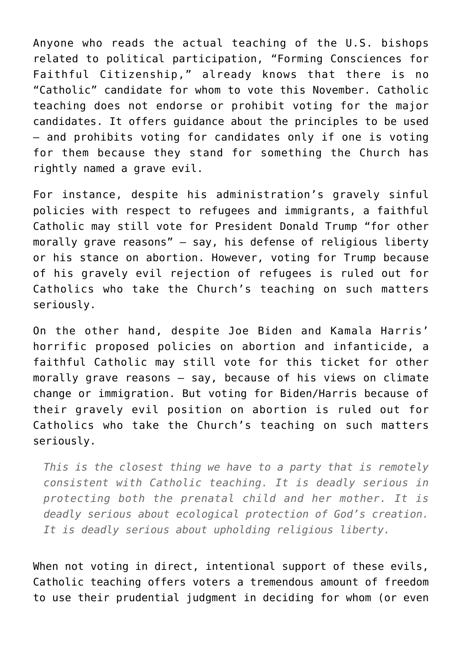Anyone who reads the actual teaching of the U.S. bishops related to political participation, "Forming Consciences for Faithful Citizenship," already knows that there is no "Catholic" candidate for whom to vote this November. Catholic teaching does not endorse or prohibit voting for the major candidates. It offers guidance about the principles to be used — and prohibits voting for candidates only if one is voting for them because they stand for something the Church has rightly named a grave evil.

For instance, despite his administration's gravely sinful policies with respect to refugees and immigrants, a faithful Catholic may still vote for President Donald Trump "for other morally grave reasons" — say, his defense of religious liberty or his stance on abortion. However, voting for Trump because of his gravely evil rejection of refugees is ruled out for Catholics who take the Church's teaching on such matters seriously.

On the other hand, despite Joe Biden and Kamala Harris' horrific proposed policies on abortion and infanticide, a faithful Catholic may still vote for this ticket for other morally grave reasons — say, because of his views on climate change or immigration. But voting for Biden/Harris because of their gravely evil position on abortion is ruled out for Catholics who take the Church's teaching on such matters seriously.

*This is the closest thing we have to a party that is remotely consistent with Catholic teaching. It is deadly serious in protecting both the prenatal child and her mother. It is deadly serious about ecological protection of God's creation. It is deadly serious about upholding religious liberty.*

When not voting in direct, intentional support of these evils, Catholic teaching offers voters a tremendous amount of freedom to use their prudential judgment in deciding for whom (or even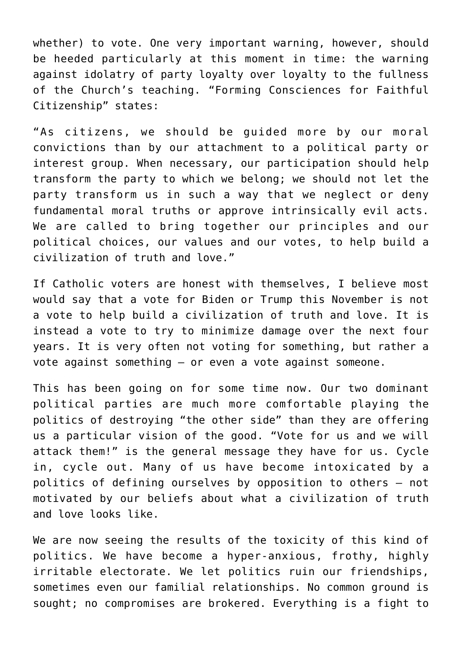whether) to vote. One very important warning, however, should be heeded particularly at this moment in time: the warning against idolatry of party loyalty over loyalty to the fullness of the Church's teaching. "Forming Consciences for Faithful Citizenship" states:

"As citizens, we should be guided more by our moral convictions than by our attachment to a political party or interest group. When necessary, our participation should help transform the party to which we belong; we should not let the party transform us in such a way that we neglect or deny fundamental moral truths or approve intrinsically evil acts. We are called to bring together our principles and our political choices, our values and our votes, to help build a civilization of truth and love."

If Catholic voters are honest with themselves, I believe most would say that a vote for Biden or Trump this November is not a vote to help build a civilization of truth and love. It is instead a vote to try to minimize damage over the next four years. It is very often not voting for something, but rather a vote against something — or even a vote against someone.

This has been going on for some time now. Our two dominant political parties are much more comfortable playing the politics of destroying "the other side" than they are offering us a particular vision of the good. "Vote for us and we will attack them!" is the general message they have for us. Cycle in, cycle out. Many of us have become intoxicated by a politics of defining ourselves by opposition to others — not motivated by our beliefs about what a civilization of truth and love looks like.

We are now seeing the results of the toxicity of this kind of politics. We have become a hyper-anxious, frothy, highly irritable electorate. We let politics ruin our friendships, sometimes even our familial relationships. No common ground is sought; no compromises are brokered. Everything is a fight to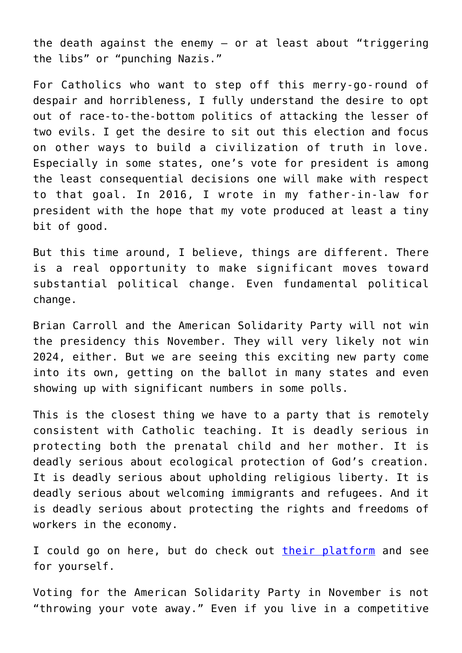the death against the enemy — or at least about "triggering the libs" or "punching Nazis."

For Catholics who want to step off this merry-go-round of despair and horribleness, I fully understand the desire to opt out of race-to-the-bottom politics of attacking the lesser of two evils. I get the desire to sit out this election and focus on other ways to build a civilization of truth in love. Especially in some states, one's vote for president is among the least consequential decisions one will make with respect to that goal. In 2016, I wrote in my father-in-law for president with the hope that my vote produced at least a tiny bit of good.

But this time around, I believe, things are different. There is a real opportunity to make significant moves toward substantial political change. Even fundamental political change.

Brian Carroll and the American Solidarity Party will not win the presidency this November. They will very likely not win 2024, either. But we are seeing this exciting new party come into its own, getting on the ballot in many states and even showing up with significant numbers in some polls.

This is the closest thing we have to a party that is remotely consistent with Catholic teaching. It is deadly serious in protecting both the prenatal child and her mother. It is deadly serious about ecological protection of God's creation. It is deadly serious about upholding religious liberty. It is deadly serious about welcoming immigrants and refugees. And it is deadly serious about protecting the rights and freedoms of workers in the economy.

I could go on here, but do check out [their platform](https://solidarity-party.org/about-us/platform/) and see for yourself.

Voting for the American Solidarity Party in November is not "throwing your vote away." Even if you live in a competitive